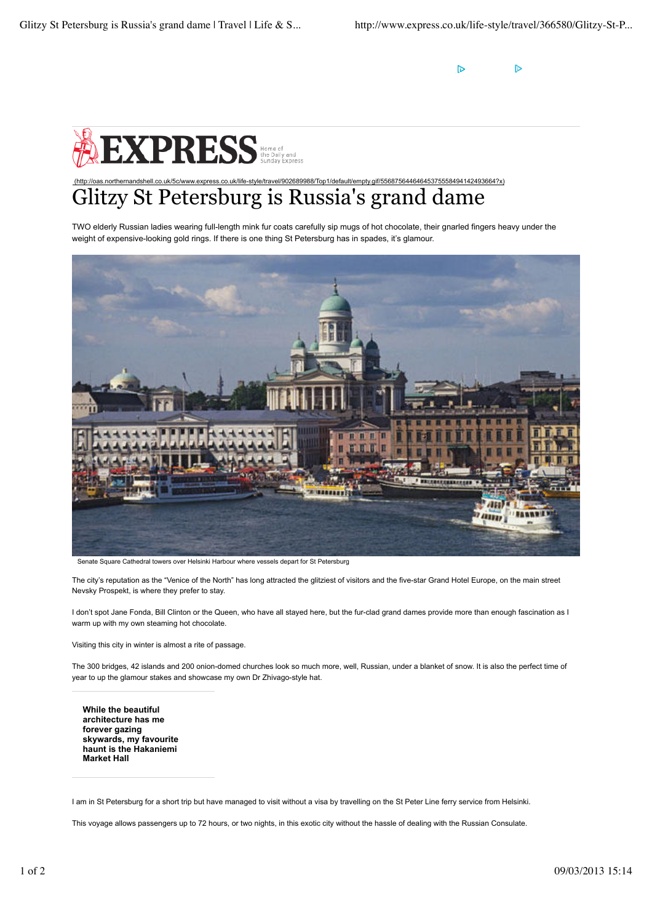$\triangleright$ Þ



## (http://oas.northernandshell.co.uk/5c/www.express.co.uk/life-style/travel/902689988/Top1/default/empty.gif/55687564464645375558494142493664?x) Glitzy St Petersburg is Russia's grand dame

TWO elderly Russian ladies wearing full-length mink fur coats carefully sip mugs of hot chocolate, their gnarled fingers heavy under the weight of expensive-looking gold rings. If there is one thing St Petersburg has in spades, it's glamour.



Senate Square Cathedral towers over Helsinki Harbour where vessels depart for St Petersburg

The city's reputation as the "Venice of the North" has long attracted the glitziest of visitors and the five-star Grand Hotel Europe, on the main street Nevsky Prospekt, is where they prefer to stay.

I don't spot Jane Fonda, Bill Clinton or the Queen, who have all stayed here, but the fur-clad grand dames provide more than enough fascination as I warm up with my own steaming hot chocolate.

Visiting this city in winter is almost a rite of passage.

The 300 bridges, 42 islands and 200 onion-domed churches look so much more, well, Russian, under a blanket of snow. It is also the perfect time of year to up the glamour stakes and showcase my own Dr Zhivago-style hat.

**While the beautiful architecture has me forever gazing skywards, my favourite haunt is the Hakaniemi Market Hall**

This voyage allows passengers up to 72 hours, or two nights, in this exotic city without the hassle of dealing with the Russian Consulate.

I am in St Petersburg for a short trip but have managed to visit without a visa by travelling on the St Peter Line ferry service from Helsinki.